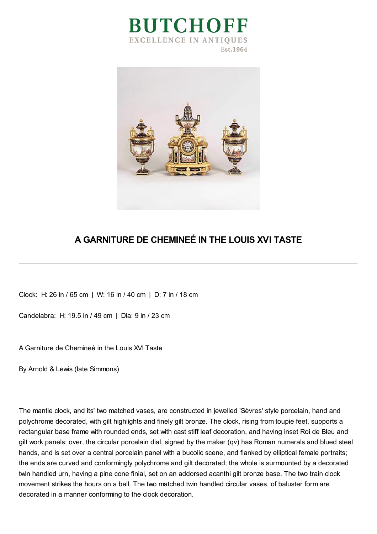



## **A GARNITURE DE CHEMINEÉ IN THE LOUIS XVI TASTE**

Clock: H: 26 in / 65 cm | W: 16 in / 40 cm | D: 7 in / 18 cm

Candelabra: H: 19.5 in / 49 cm | Dia: 9 in / 23 cm

A Garniture de Chemineé in the Louis XVI Taste

By Arnold & Lewis (late Simmons)

The mantle clock, and its' two matched vases, are constructed in jewelled 'Sèvres' style porcelain, hand and polychrome decorated, with gilt highlights and finely gilt bronze. The clock, rising from toupie feet, supports a rectangular base frame with rounded ends, set with cast stiff leaf decoration, and having inset Roi de Bleu and gilt work panels; over, the circular porcelain dial, signed by the maker (qv) has Roman numerals and blued steel hands, and is set over a central porcelain panel with a bucolic scene, and flanked by elliptical female portraits; the ends are curved and conformingly polychrome and gilt decorated; the whole is surmounted by a decorated twin handled urn, having a pine cone finial, set on an addorsed acanthi gilt bronze base. The two train clock movement strikes the hours on a bell. The two matched twin handled circular vases, of baluster form are decorated in a manner conforming to the clock decoration.